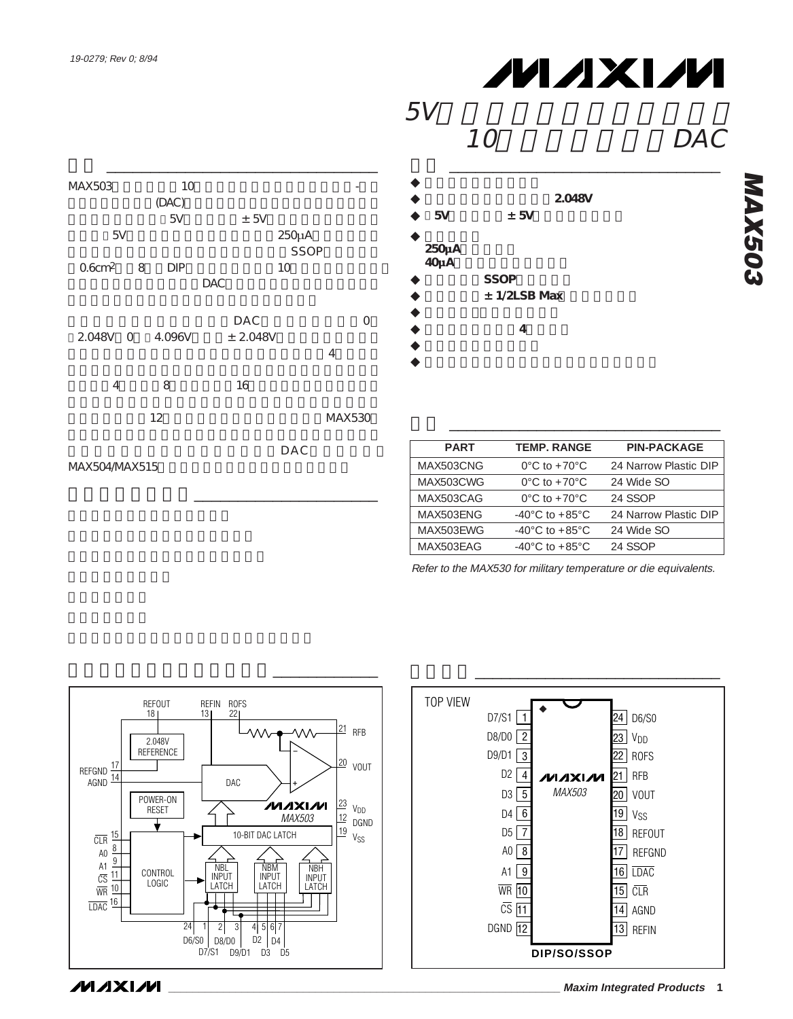

# **MAXIM**

# $5V$

## $10$  DAC

# **特長** \_\_\_\_\_\_\_\_\_\_\_\_\_\_\_\_\_\_\_\_\_\_\_\_\_\_\_\_\_\_\_

- ◆ **バッファ付き電圧** ◆ **電圧リファレンス内蔵:2.048V** 5V  $\pm$  5V ◆ **低消費電力 250µAの動作電流 40µAのシャットダウン電流 SSOP**  $± 1/2LSB$  Max ◆ **単調性保証(全温度範囲)** ◆ **4** ◆ **パワーオン・リセット**
- ◆ *ダブルバック入力*
- **PART TEMP. RANGE PIN-PACKAGE** MAX503CNG 0°C to +70°C 24 Narrow Plastic DIP MAX503CWG 0°C to +70°C 24 Wide SO MAX503CAG 0°C to +70°C 24 SSOP MAX503ENG -40°C to +85°C 24 Narrow Plastic DIP MAX503EWG -40°C to +85°C 24 Wide SO MAX503EAG -40°C to +85°C 24 SSOP

**型番** \_\_\_\_\_\_\_\_\_\_\_\_\_\_\_\_\_\_\_\_\_\_\_\_\_\_\_\_\_\_\_

Refer to the MAX530 for military temperature or die equivalents.



**ファンクションダイアグラム**\_\_\_\_\_\_\_\_\_\_\_\_



**MAX503 MAX503** 

**MAXIM**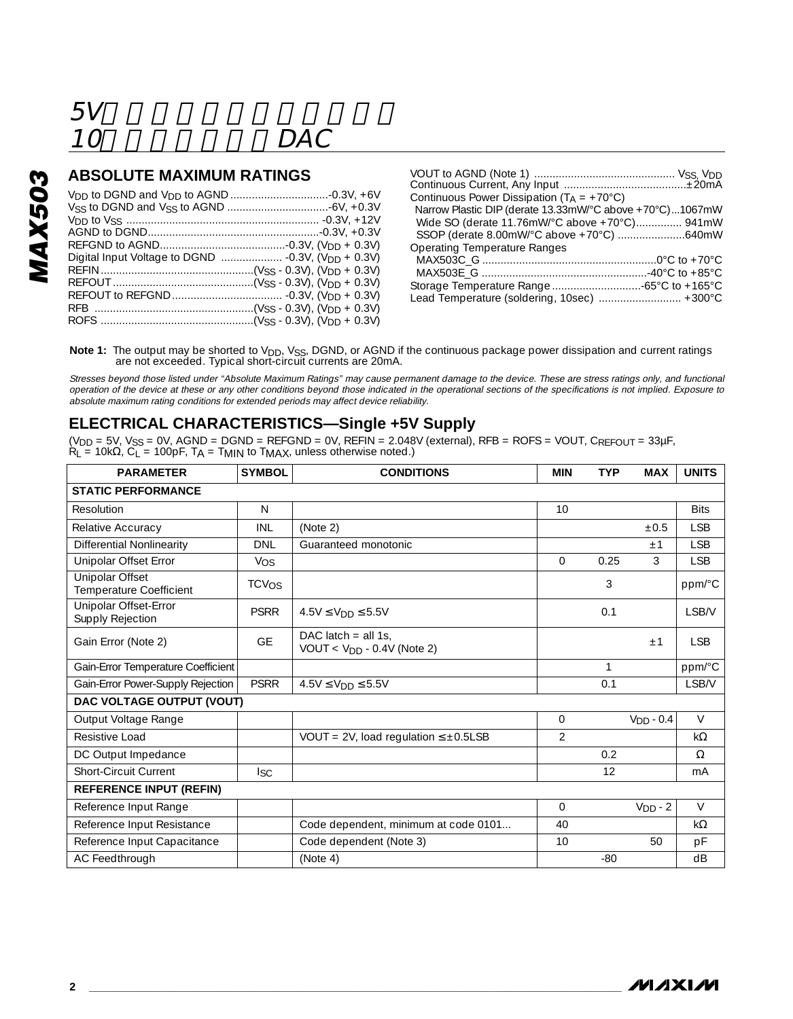# 10 DAC

### **ABSOLUTE MAXIMUM RATINGS**

| Continuous Power Dissipation $(T_A = +70^{\circ}C)$      |  |
|----------------------------------------------------------|--|
| Narrow Plastic DIP (derate 13.33mW/°C above +70°C)1067mW |  |
| Wide SO (derate 11.76mW/°C above +70°C) 941mW            |  |
|                                                          |  |
| <b>Operating Temperature Ranges</b>                      |  |
|                                                          |  |
|                                                          |  |
|                                                          |  |
| Lead Temperature (soldering, 10sec)  +300°C              |  |

Note 1: The output may be shorted to V<sub>DD</sub>, V<sub>SS</sub>, DGND, or AGND if the continuous package power dissipation and current ratings<br>are not exceeded. Typical short-circuit currents are 20mA.

Stresses beyond those listed under "Absolute Maximum Ratings" may cause permanent damage to the device. These are stress ratings only, and functional<br>operation of the device at these or any other conditions beyond those in absolute maximum rating conditions for extended periods may affect device reliability.

### **ELECTRICAL CHARACTERISTICS—Single +5V Supply**

(V<sub>DD</sub> = 5V, V<sub>SS</sub> = 0V, AGND = DGND = REFGND = 0V, REFIN = 2.048V (external), RFB = ROFS = VOUT, C<sub>REFOUT</sub> = 33μF,<br>R<sub>L</sub> = 10kΩ, C<sub>L</sub> = 100pF, TA = TMIN to TMAX, unless otherwise noted.)

| <b>PARAMETER</b>                                  | <b>SYMBOL</b>           | <b>CONDITIONS</b>                                     | <b>MIN</b>     | <b>TYP</b> | <b>MAX</b>  | <b>UNITS</b> |
|---------------------------------------------------|-------------------------|-------------------------------------------------------|----------------|------------|-------------|--------------|
| <b>STATIC PERFORMANCE</b>                         |                         |                                                       |                |            |             |              |
| Resolution                                        | N                       |                                                       | 10             |            |             | <b>Bits</b>  |
| Relative Accuracy                                 | INI                     | (Note 2)                                              |                |            | $\pm 0.5$   | <b>ISB</b>   |
| Differential Nonlinearity                         | <b>DNI</b>              | Guaranteed monotonic                                  |                |            | $+1$        | <b>ISB</b>   |
| Unipolar Offset Error                             | Vos                     |                                                       | $\Omega$       | 0.25       | 3           | <b>LSB</b>   |
| <b>Unipolar Offset</b><br>Temperature Coefficient | <b>TCV<sub>OS</sub></b> |                                                       |                | 3          |             | ppm/°C       |
| Unipolar Offset-Error<br>Supply Rejection         | <b>PSRR</b>             | $4.5V \le VDD \le 5.5V$                               |                | 0.1        |             | LSB/V        |
| Gain Error (Note 2)                               | GF                      | DAC latch $=$ all 1s.<br>$VOUT < VDD - 0.4V$ (Note 2) |                |            | $+1$        | <b>ISB</b>   |
| Gain-Error Temperature Coefficient                |                         |                                                       |                | 1          |             | ppm/°C       |
| Gain-Error Power-Supply Rejection                 | <b>PSRR</b>             | $4.5V \leq V_{DD} \leq 5.5V$                          |                | 0.1        |             | <b>LSB/V</b> |
| DAC VOLTAGE OUTPUT (VOUT)                         |                         |                                                       |                |            |             |              |
| Output Voltage Range                              |                         |                                                       | 0              |            | $VDD - 0.4$ | $\vee$       |
| Resistive Load                                    |                         | VOUT = 2V, load regulation $\leq \pm 0.5$ LSB         | $\mathfrak{D}$ |            |             | $k\Omega$    |
| DC Output Impedance                               |                         |                                                       |                | 0.2        |             | $\Omega$     |
| Short-Circuit Current                             | lsc                     |                                                       |                | 12         |             | mA           |
| <b>REFERENCE INPUT (REFIN)</b>                    |                         |                                                       |                |            |             |              |
| Reference Input Range                             |                         |                                                       | 0              |            | $VDD - 2$   | $\vee$       |
| Reference Input Resistance                        |                         | Code dependent, minimum at code 0101                  | 40             |            |             | $k\Omega$    |
| Reference Input Capacitance                       |                         | Code dependent (Note 3)                               | 10             |            | 50          | pF           |
| AC Feedthrough                                    |                         | (Note 4)                                              |                | $-80$      |             | dB           |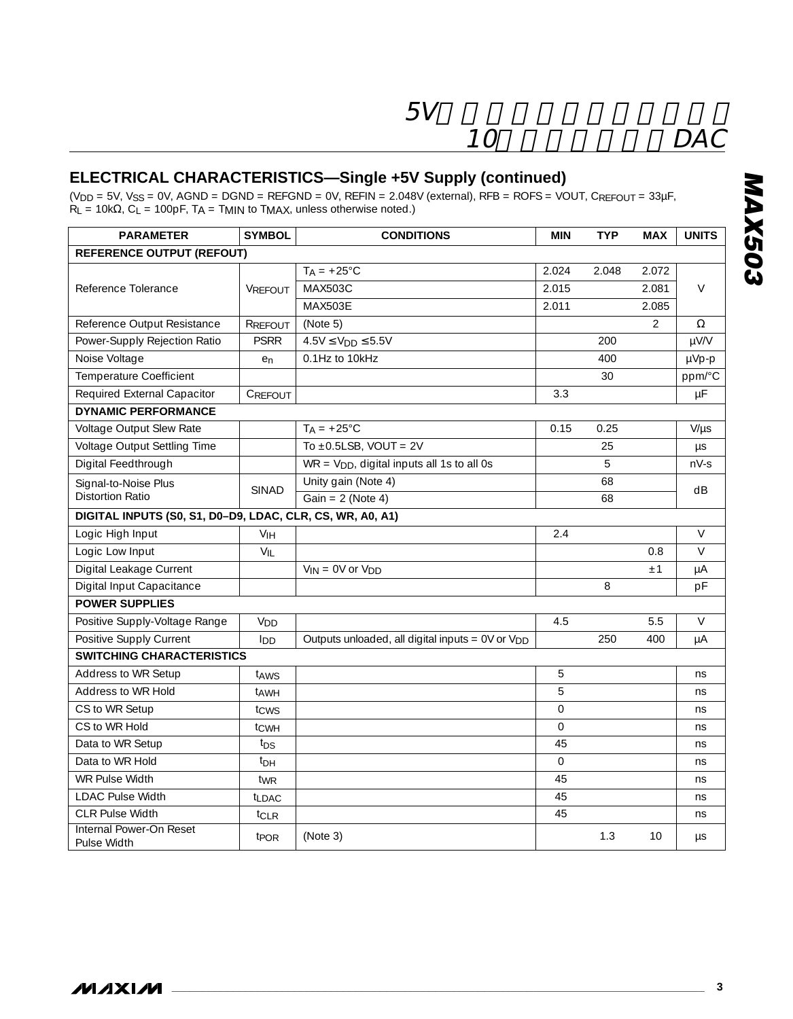## **ELECTRICAL CHARACTERISTICS—Single +5V Supply (continued)**

 $(V_{DD} = 5V$ ,  $V_{SS} = 0V$ ,  $AGND = DGND = REFGND = 0V$ ,  $REFN = 2.048V$  (external),  $RFB = ROFS = VOUT$ ,  $C_{REFOUT} = 33\mu F$ ,  $R_L$  = 10k $\Omega$ ,  $C_L$  = 100pF, TA = TMIN to TMAX, unless otherwise noted.)

| <b>PARAMETER</b>                                          | <b>SYMBOL</b>    | <b>CONDITIONS</b>                                    | MIN     | <b>TYP</b> | <b>MAX</b>     | <b>UNITS</b> |  |  |
|-----------------------------------------------------------|------------------|------------------------------------------------------|---------|------------|----------------|--------------|--|--|
| <b>REFERENCE OUTPUT (REFOUT)</b>                          |                  |                                                      |         |            |                |              |  |  |
|                                                           |                  | $TA = +25^{\circ}C$                                  | 2.024   | 2.048      | 2.072          |              |  |  |
| Reference Tolerance                                       | <b>VRFFOUT</b>   | <b>MAX503C</b>                                       | 2.015   |            | 2.081          | V            |  |  |
|                                                           |                  | <b>MAX503E</b>                                       | 2.011   |            | 2.085          |              |  |  |
| Reference Output Resistance                               | RREFOUT          | (Note 5)                                             |         |            | $\overline{2}$ | Ω            |  |  |
| Power-Supply Rejection Ratio                              | <b>PSRR</b>      | $4.5V \leq V_{DD} \leq 5.5V$                         |         | 200        |                | µV/V         |  |  |
| Noise Voltage                                             | en               | 0.1Hz to 10kHz                                       |         | 400        |                | µVp-p        |  |  |
| Temperature Coefficient                                   |                  |                                                      |         | 30         |                | ppm/°C       |  |  |
| Required External Capacitor                               | CREFOUT          |                                                      | 3.3     |            |                | $\mu F$      |  |  |
| <b>DYNAMIC PERFORMANCE</b>                                |                  |                                                      |         |            |                |              |  |  |
| Voltage Output Slew Rate                                  |                  | $TA = +25^{\circ}C$                                  | 0.15    | 0.25       |                | $V/\mu s$    |  |  |
| Voltage Output Settling Time                              |                  | To $\pm$ 0.5LSB, VOUT = 2V                           |         | 25         |                | μs           |  |  |
| Digital Feedthrough                                       |                  | $WR = VDD$ , digital inputs all 1s to all 0s         |         | 5          |                | $nV-S$       |  |  |
| Signal-to-Noise Plus                                      | <b>SINAD</b>     | Unity gain (Note 4)                                  |         | 68         |                | dB           |  |  |
| <b>Distortion Ratio</b>                                   |                  | Gain = $2$ (Note 4)                                  |         | 68         |                |              |  |  |
| DIGITAL INPUTS (S0, S1, D0-D9, LDAC, CLR, CS, WR, A0, A1) |                  |                                                      |         |            |                |              |  |  |
| Logic High Input                                          | V <sub>IH</sub>  |                                                      | 2.4     |            |                | $\vee$       |  |  |
| Logic Low Input                                           | $V_{IL}$         |                                                      |         |            | 0.8            | $\vee$       |  |  |
| Digital Leakage Current                                   |                  | $V_{IN} = OV$ or $V_{DD}$                            |         |            | ±1             | μA           |  |  |
| Digital Input Capacitance                                 |                  |                                                      |         | 8          |                | pF           |  |  |
| <b>POWER SUPPLIES</b>                                     |                  |                                                      |         |            |                |              |  |  |
| Positive Supply-Voltage Range                             | V <sub>DD</sub>  |                                                      | 4.5     |            | 5.5            | $\vee$       |  |  |
| Positive Supply Current                                   | lnn              | Outputs unloaded, all digital inputs = $0V$ or $VDD$ |         | 250        | 400            | μA           |  |  |
| <b>SWITCHING CHARACTERISTICS</b>                          |                  |                                                      |         |            |                |              |  |  |
| Address to WR Setup                                       | t <sub>AWS</sub> |                                                      | 5       |            |                | ns           |  |  |
| Address to WR Hold                                        | tawh             |                                                      | 5       |            |                | ns           |  |  |
| CS to WR Setup                                            | tcws             |                                                      | $\circ$ |            |                | ns           |  |  |
| CS to WR Hold                                             | tcwн             |                                                      | $\circ$ |            |                | ns           |  |  |
| Data to WR Setup                                          | t <sub>DS</sub>  |                                                      | 45      |            |                | ns           |  |  |
| Data to WR Hold                                           | $t_{\text{DH}}$  |                                                      | $\circ$ |            |                | ns           |  |  |
| WR Pulse Width                                            | tw <sub>R</sub>  |                                                      | 45      |            |                | ns           |  |  |
| <b>LDAC Pulse Width</b>                                   | <b>t</b> LDAC    |                                                      | 45      |            |                | ns           |  |  |
| <b>CLR Pulse Width</b>                                    | t <sub>CLR</sub> |                                                      | 45      |            |                | ns.          |  |  |
| Internal Power-On Reset<br>Pulse Width                    | t <sub>POR</sub> | (Note 3)                                             |         | 1.3        | 10             | μs           |  |  |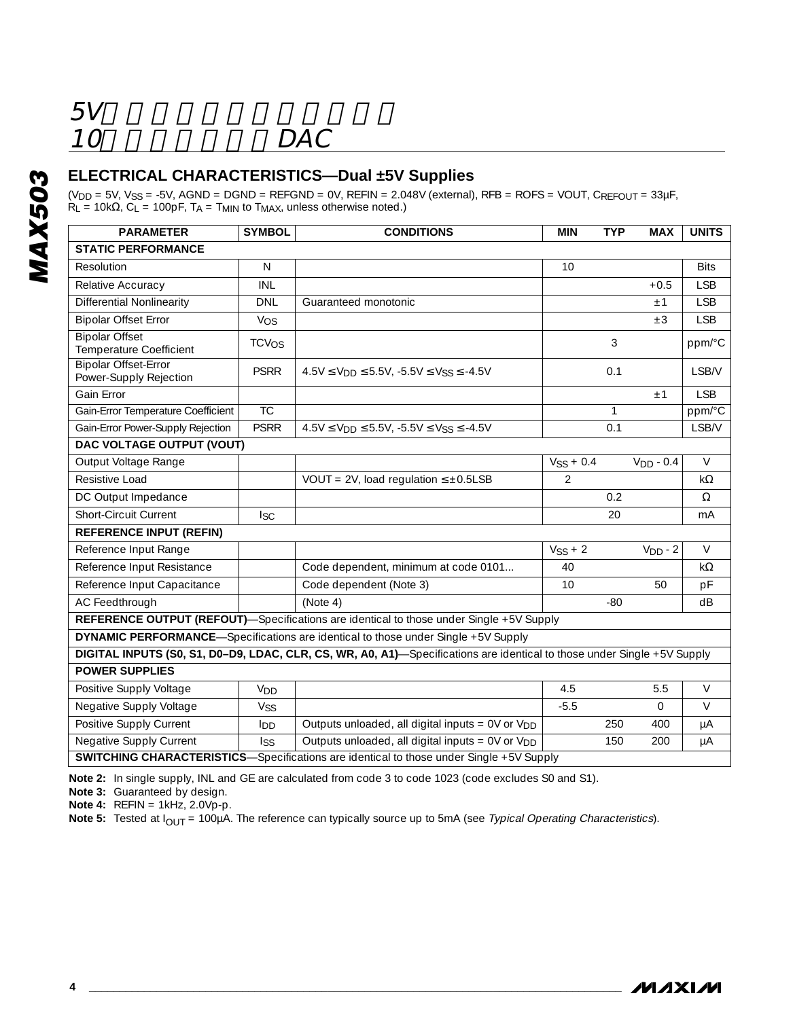# 10 DAC

### **ELECTRICAL CHARACTERISTICS—Dual ±5V Supplies**

(V<sub>DD</sub> = 5V, Vss = -5V, AGND = DGND = REFGND = 0V, REFIN = 2.048V (external), RFB = ROFS = VOUT, Crɛɛɾouτ = 33μF,<br>R<sub>L</sub> = 10kΩ, C<sub>L</sub> = 100pF, T<sub>A</sub> = T<sub>MIN</sub> to T<sub>MAX</sub>, unless otherwise noted.)

| <b>PARAMETER</b>                                                                                                        | <b>SYMBOL</b>   | <b>CONDITIONS</b>                                                                               | <b>MIN</b>    | <b>TYP</b>   | <b>MAX</b>  | <b>UNITS</b> |  |  |  |
|-------------------------------------------------------------------------------------------------------------------------|-----------------|-------------------------------------------------------------------------------------------------|---------------|--------------|-------------|--------------|--|--|--|
| <b>STATIC PERFORMANCE</b>                                                                                               |                 |                                                                                                 |               |              |             |              |  |  |  |
| Resolution                                                                                                              | N               |                                                                                                 | 10            |              |             | <b>Bits</b>  |  |  |  |
| Relative Accuracy                                                                                                       | INL             |                                                                                                 |               |              | $+0.5$      | <b>LSB</b>   |  |  |  |
| Differential Nonlinearity                                                                                               | <b>DNI</b>      | Guaranteed monotonic                                                                            |               |              | ±1          | <b>ISB</b>   |  |  |  |
| <b>Bipolar Offset Error</b>                                                                                             | Vos             |                                                                                                 |               |              | $\pm 3$     | <b>LSB</b>   |  |  |  |
| <b>Bipolar Offset</b><br>Temperature Coefficient                                                                        | TCVOS           |                                                                                                 |               | 3            |             | ppm/°C       |  |  |  |
| <b>Bipolar Offset-Error</b><br>Power-Supply Rejection                                                                   | <b>PSRR</b>     | $4.5V \le V_{DD} \le 5.5V$ , $-5.5V \le V_{SS} \le -4.5V$                                       |               | 0.1          |             | LSB/V        |  |  |  |
| Gain Error                                                                                                              |                 |                                                                                                 |               |              | ±1          | <b>LSB</b>   |  |  |  |
| Gain-Error Temperature Coefficient                                                                                      | <b>TC</b>       |                                                                                                 |               | $\mathbf{1}$ |             | ppm/°C       |  |  |  |
| Gain-Error Power-Supply Rejection                                                                                       | <b>PSRR</b>     | $4.5V \le V_{DD} \le 5.5V$ , $-5.5V \le V_{SS} \le -4.5V$                                       |               | 0.1          |             | LSB/V        |  |  |  |
| DAC VOLTAGE OUTPUT (VOUT)                                                                                               |                 |                                                                                                 |               |              |             |              |  |  |  |
| Output Voltage Range                                                                                                    |                 |                                                                                                 | $VSS + 0.4$   |              | $VDD - 0.4$ | $\vee$       |  |  |  |
| Resistive Load                                                                                                          |                 | VOUT = 2V, load regulation $\leq \pm 0.5$ LSB                                                   | $\mathcal{P}$ |              |             | $k\Omega$    |  |  |  |
| DC Output Impedance                                                                                                     |                 |                                                                                                 |               | 0.2          |             | Ω            |  |  |  |
| Short-Circuit Current                                                                                                   | $_{\rm lsc}$    |                                                                                                 |               | 20           |             | mA           |  |  |  |
| <b>REFERENCE INPUT (REFIN)</b>                                                                                          |                 |                                                                                                 |               |              |             |              |  |  |  |
| Reference Input Range                                                                                                   |                 |                                                                                                 | $VSS + 2$     |              | $VDD - 2$   | $\vee$       |  |  |  |
| Reference Input Resistance                                                                                              |                 | Code dependent, minimum at code 0101                                                            | 40            |              |             | $k\Omega$    |  |  |  |
| Reference Input Capacitance                                                                                             |                 | Code dependent (Note 3)                                                                         | 10            |              | 50          | pF           |  |  |  |
| AC Feedthrough                                                                                                          |                 | (Note 4)                                                                                        |               | $-80$        |             | dB           |  |  |  |
|                                                                                                                         |                 | <b>REFERENCE OUTPUT (REFOUT)</b> —Specifications are identical to those under Single +5V Supply |               |              |             |              |  |  |  |
| <b>DYNAMIC PERFORMANCE</b> —Specifications are identical to those under Single +5V Supply                               |                 |                                                                                                 |               |              |             |              |  |  |  |
| DIGITAL INPUTS (S0, S1, D0-D9, LDAC, CLR, CS, WR, A0, A1)—Specifications are identical to those under Single +5V Supply |                 |                                                                                                 |               |              |             |              |  |  |  |
| <b>POWER SUPPLIES</b>                                                                                                   |                 |                                                                                                 |               |              |             |              |  |  |  |
| Positive Supply Voltage                                                                                                 | V <sub>DD</sub> |                                                                                                 | 4.5           |              | 5.5         | $\vee$       |  |  |  |
| Negative Supply Voltage                                                                                                 | Vss             |                                                                                                 | $-5.5$        |              | $\Omega$    | $\vee$       |  |  |  |
| Positive Supply Current                                                                                                 | lnn             | Outputs unloaded, all digital inputs = $0V$ or $VDD$                                            |               | 250          | 400         | μA           |  |  |  |
| Negative Supply Current                                                                                                 | <b>Iss</b>      | Outputs unloaded, all digital inputs = 0V or V <sub>DD</sub>                                    |               | 150          | 200         | μA           |  |  |  |
|                                                                                                                         |                 | <b>SWITCHING CHARACTERISTICS</b> —Specifications are identical to those under Single +5V Supply |               |              |             |              |  |  |  |

**Note 2:** In single supply, INL and GE are calculated from code 3 to code 1023 (code excludes S0 and S1).

**Note 3:** Guaranteed by design.

**Note 4:** REFIN = 1kHz, 2.0Vp-p.

**Note 5:** Tested at I<sub>OUT</sub> = 100µA. The reference can typically source up to 5mA (see Typical Operating Characteristics).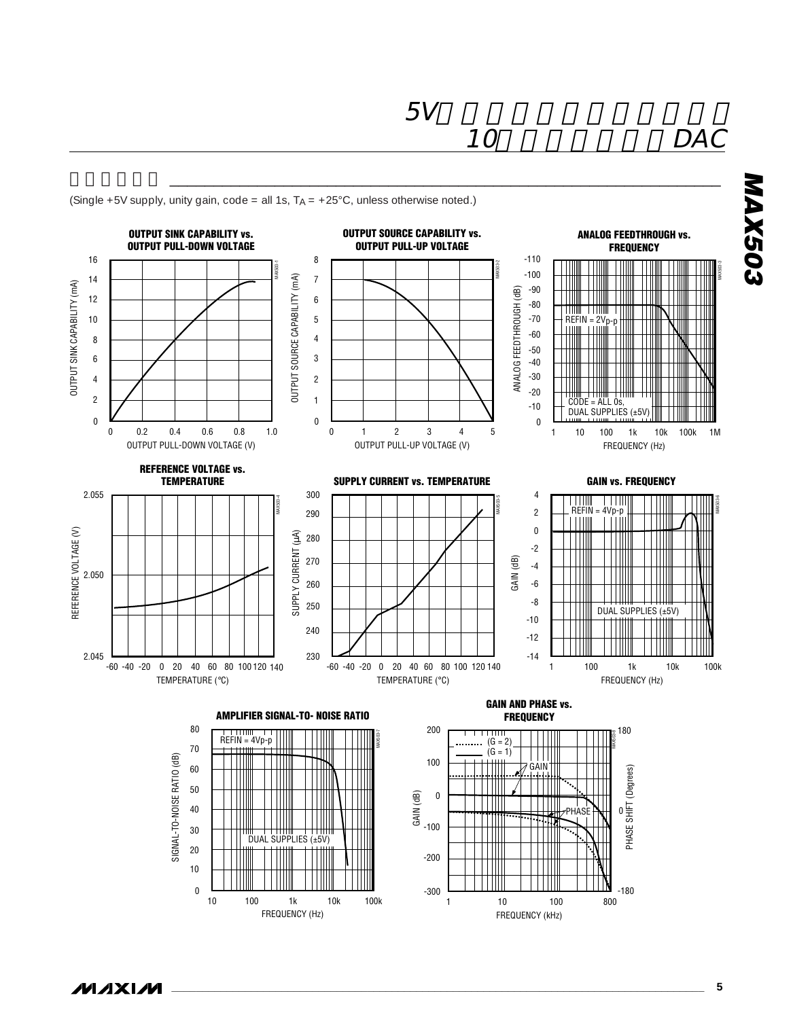**標準動作特性** \_\_\_\_\_\_\_\_\_\_\_\_\_\_\_\_\_\_\_\_\_\_\_\_\_\_\_\_\_\_\_\_\_\_\_\_\_\_\_\_\_\_\_\_\_\_\_\_\_\_\_\_\_\_\_\_\_\_\_\_\_\_\_





**\_\_\_\_\_\_\_\_\_\_\_\_\_\_\_\_\_\_\_\_\_\_\_\_\_\_\_\_\_\_\_\_\_\_\_\_\_\_\_\_\_\_\_\_\_\_\_\_\_\_\_\_\_\_\_\_\_\_\_\_\_\_\_\_\_\_\_\_\_\_\_\_\_\_\_\_\_\_\_\_\_\_\_\_\_\_\_ 5**

**MAXIM**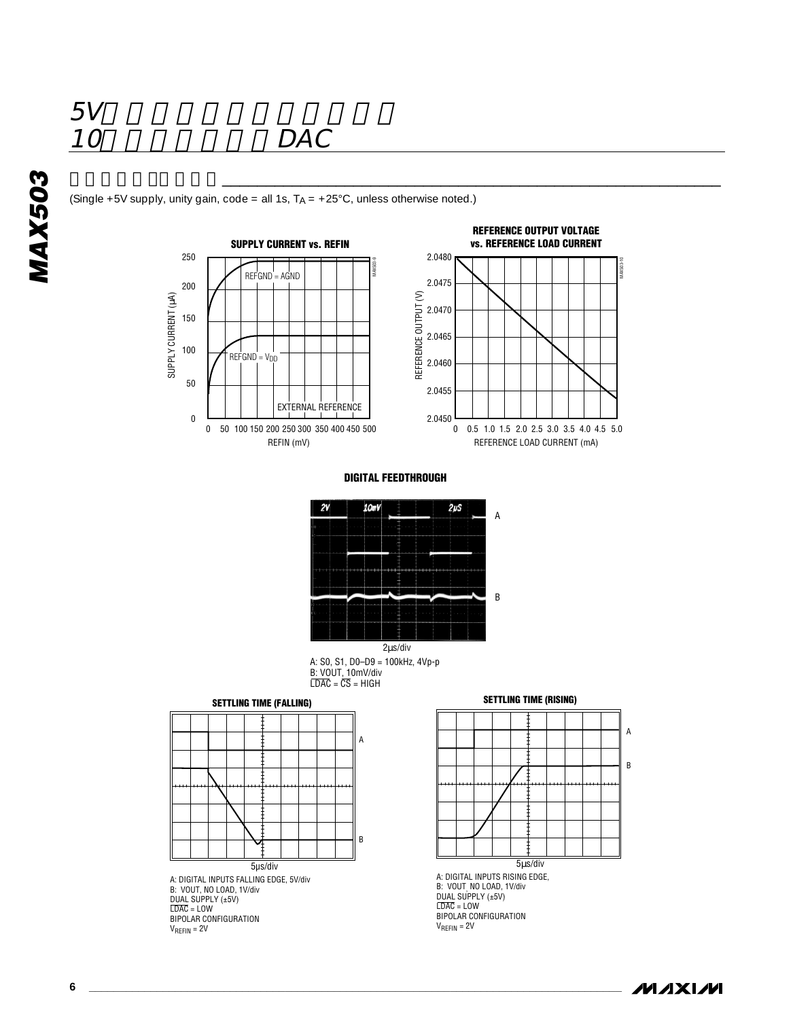$\frac{5V}{10}$ 

(Single +5V supply, unity gain, code = all 1s,  $T_A = +25^{\circ}$ C, unless otherwise noted.)





**DIGITAL FEEDTHROUGH**

**標準動作特性(続き)**\_\_\_\_\_\_\_\_\_\_\_\_\_\_\_\_\_\_\_\_\_\_\_\_\_\_\_\_\_\_\_\_\_\_\_\_\_\_\_\_\_\_\_\_\_\_\_\_\_\_\_\_\_\_\_\_\_



A: S0, S1, D0–D9 = 100kHz, 4Vp-p B: VOUT, 10mV/div LDAC = CS = HIGH 2µs/div

**SETTLING TIME (FALLING)**



A: DIGITAL INPUTS FALLING EDGE, 5V/div B: VOUT, NO LOAD, 1V/div DUAL SUPPLY (±5V)<br>LDAC = LOW<br>BIPOLAR CONFIGURATION  $V_{REFIN} = 2V$ 





B: VOUT, NO LOAD, 1V/div DUAL SUPPLY (±5V)  $LDAC = LOW$ BIPOLAR CONFIGURATION VREFIN = 2V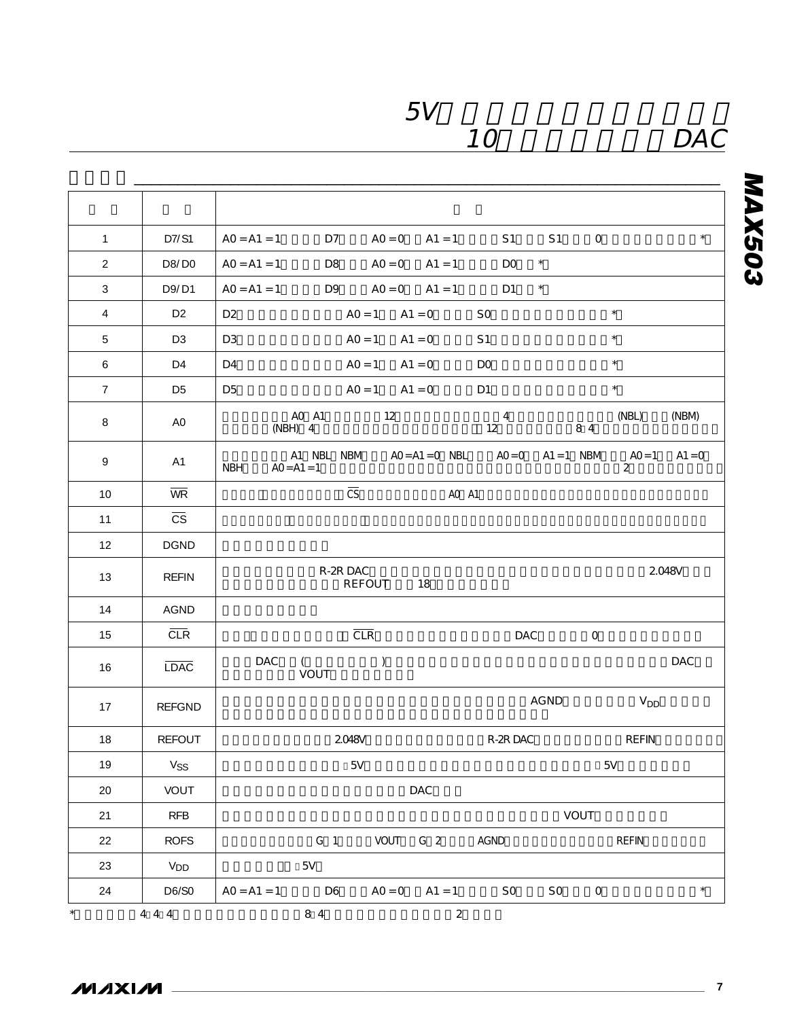## 10 DAC

# **MAX503**

| $\mathbf{1}$   | D7/S1                  | $\star$<br>S <sub>1</sub><br>$\mathsf O$<br>$AO = A1 = 1$<br>D7<br>$AO = O$<br>$A1 = 1$<br>S <sub>1</sub>                            |
|----------------|------------------------|--------------------------------------------------------------------------------------------------------------------------------------|
| $\overline{2}$ | D8/D0                  | $\star$<br>DO<br>$AO = A1 = 1$<br>D8<br>$AO = O$<br>$A1 = 1$                                                                         |
| 3              | D9/D1                  | $\star$<br>$AO = A1 = 1$<br>D <sub>9</sub><br>$AO = O$<br>D <sub>1</sub><br>$A1 = 1$                                                 |
| $\overline{4}$ | D <sub>2</sub>         | $\star$<br>D <sub>2</sub><br>$AO = 1$<br>$A1 = 0$<br>SO.                                                                             |
| 5              | D <sub>3</sub>         | $\star$<br>D <sub>3</sub><br>$AO = 1$<br>S <sub>1</sub><br>$A1 = 0$                                                                  |
| 6              | D4                     | $\star$<br>D4<br>$AO = 1$<br>$A1 = 0$<br>DO                                                                                          |
| $\overline{7}$ | D <sub>5</sub>         | ×<br>D <sub>5</sub><br>$AO = 1$<br>$A1 = 0$<br>D <sub>1</sub>                                                                        |
| 8              | A <sub>0</sub>         | AO A1<br>12<br>4<br>(NBL)<br>(NBM)<br>12<br>84<br>(NBH) 4                                                                            |
| 9              | A1                     | A1 NBL NBM<br>$AO = A1 = O$ NBL<br>$AO = 0$<br>$A1 = 1$ NBM<br>$AO = 1$<br>$A1 = 0$<br><b>NBH</b><br>$AO = A1 = 1$<br>$\overline{2}$ |
| 10             | <b>WR</b>              | $\overline{\text{CS}}$<br>AO A1                                                                                                      |
| 11             | $\overline{\text{CS}}$ |                                                                                                                                      |
| 12             | <b>DGND</b>            |                                                                                                                                      |
| 13             | <b>REFIN</b>           | R-2R DAC<br>2.048V<br>REFOUT<br>18                                                                                                   |
| 14             | <b>AGND</b>            |                                                                                                                                      |
| 15             | CLR                    | CLR<br>DAC<br>0                                                                                                                      |
| 16             | <b>LDAC</b>            | $\mathcal{L}$<br>DAC<br>$\left($<br>DAC<br>VOUT                                                                                      |
| 17             | <b>REFGND</b>          | AGND<br><b>V<sub>DD</sub></b>                                                                                                        |
| 18             | <b>REFOUT</b>          | R-2R DAC<br><b>2048V</b><br><b>REFIN</b>                                                                                             |
| 19             | Vss                    | 5V<br>5V                                                                                                                             |
| 20             | <b>VOUT</b>            | DAC                                                                                                                                  |
| 21             | <b>RFB</b>             | <b>VOUT</b>                                                                                                                          |
| 22             | <b>ROFS</b>            | G <sub>1</sub><br><b>VOUT</b><br>G <sub>2</sub><br>AGND<br><b>REFIN</b>                                                              |
| 23             | <b>V<sub>DD</sub></b>  | 5V                                                                                                                                   |
| 24             | D6/S0                  | $\star$<br>$AO = A1 = 1$<br>D <sub>6</sub><br>$AO = O$<br>$A1 = 1$<br>S <sub>O</sub><br>SO.<br>O                                     |
| $\star$        | 4 4 4                  | 84<br>$\overline{2}$                                                                                                                 |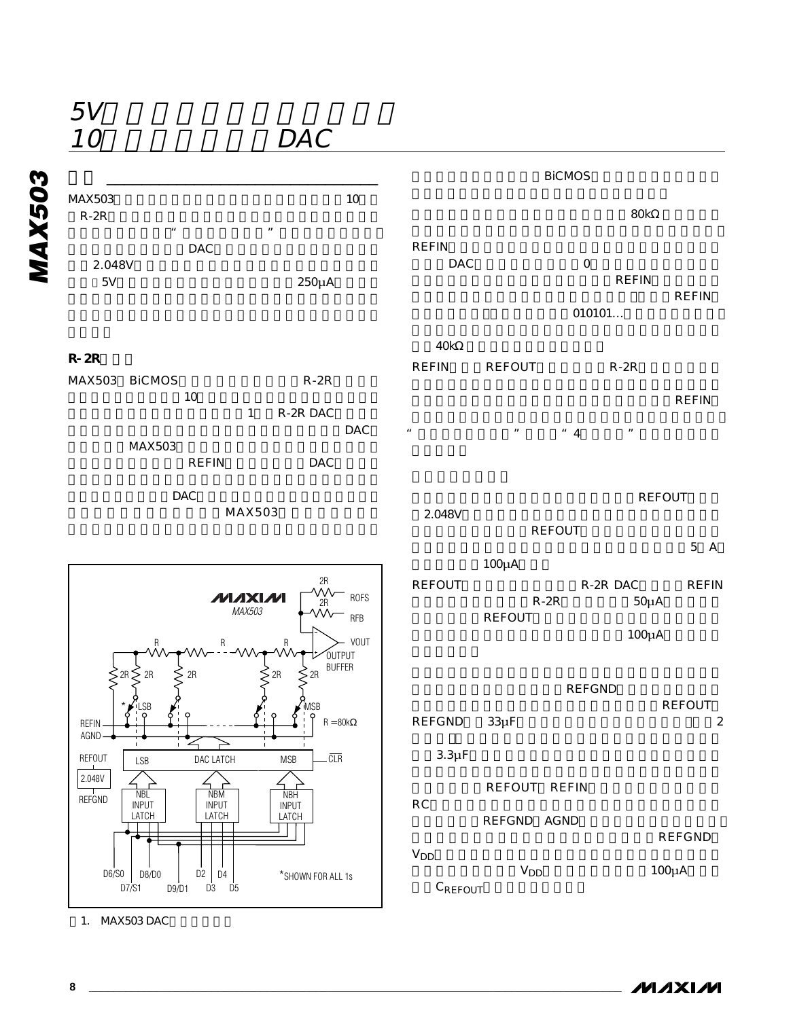10 DAC



### **M**<br> **MA**X503<br> **R**-2R<br>
2.048V<br>
<sup>M</sup><br>
<sup>2.048V</sup><br>
<sup>EV</sup> MAX503 10 R-2R<sub>→</sub>  $\mu$  and  $\mu$  $DAC$ 2.048V  $5V$  250 $\mu$ A

**R-2Rラダー**

MAX503 BICMOS R-2R  $10$ 1 R-2R DAC **DAC** MAX503 REFIN DAC

MAX503

 $DAC$ 

40k REFIN REFOUT R-2R

DAC O

REFOUT 2.048V **REFOUT**  $5A$ 100μA

REFOUT R-2R DAC REFIN R-2R 50µA REFOUT  $100\mu$ A

**REFGND** REFOUT REFGND 33µF 2  $3.3\mu F$ REFOUT REFIN RC<sub>2</sub>  $R$ <sub>2</sub>  $\sim$   $R$ <sub>2</sub>  $\sim$   $R$ <sub>2</sub>  $\sim$   $R$ <sub>2</sub>  $\sim$   $R$ <sub>2</sub>  $\sim$   $R$ <sub>2</sub>  $\sim$   $R$ <sub>3</sub>  $\sim$   $R$ <sub>3</sub>  $\sim$   $R$ <sub>3</sub>  $\sim$   $R$ <sub>3</sub>  $\sim$   $R$ 3  $\sim$   $R$ 3  $\sim$   $R$ 3  $\sim$   $R$ 3  $\sim$   $R$ 3  $\sim$   $R$ 3  $\sim$   $R$ 3  $\sim$   $R$ 3  $\sim$   $R$ 3  $\sim$   $R$ 3 REFGND AGND **REFGND**  $V<sub>DD</sub>$  $V_{DD}$  100 $\mu$ A C<sub>REFOUT</sub>



1. MAX503 DAC

**REFIN**  $\frac{n}{4}$   $\frac{n}{4}$   $\frac{n}{4}$ 

010101...

**REFIN** 

**REFIN** 

**BiCMOS** 

 $\overline{\mathsf{30k}}$ 

REFING ALL THE REFING ASSESSED AT THE REFINGER AND THE REFINGER AND THE REFINGER AND THE REFINGER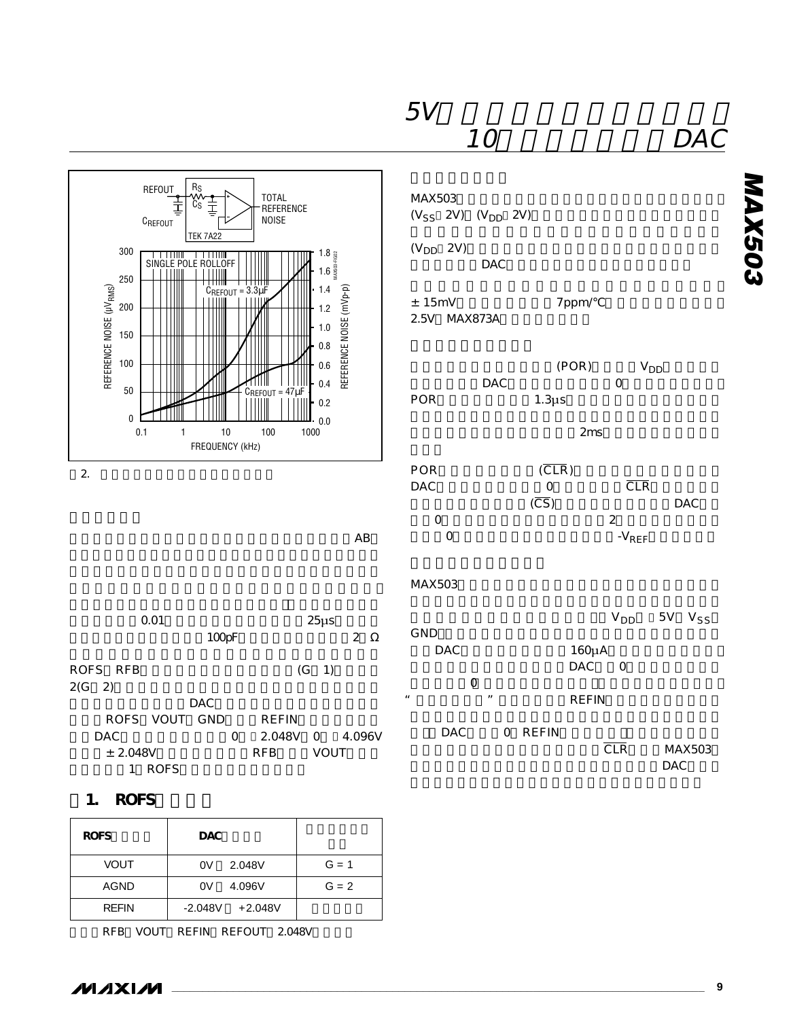

|                                  |             | 100pF      |                               | - - -                         | 2      | GND                | <b>DAC</b> |                   |         | $160\mu$ A   |                |                      |
|----------------------------------|-------------|------------|-------------------------------|-------------------------------|--------|--------------------|------------|-------------------|---------|--------------|----------------|----------------------|
| ROFS RFB                         |             |            |                               | $(G \ 1)$                     |        |                    |            |                   |         | DAC          | $\overline{O}$ |                      |
| $2(G \ 2)$                       |             | <b>DAC</b> |                               |                               |        | $\boldsymbol{\mu}$ | 0          | $^{\prime\prime}$ |         | <b>REFIN</b> |                |                      |
| ROFS VOUT GND<br>DAC<br>± 2.048V | <b>ROFS</b> | 0          | REFIN<br>2.048V<br><b>RFB</b> | $\overline{O}$<br><b>VOUT</b> | 4.096V |                    | <b>DAC</b> |                   | O REFIN |              | <b>CLR</b>     | MAX503<br><b>DAC</b> |

### **1. ROFS**

| <b>ROFS</b>  | <b>DAC</b>             |         |
|--------------|------------------------|---------|
| <b>VOUT</b>  | 2.048V<br>0V           | $G = 1$ |
| AGND         | 4.096V<br>0V           | $G = 2$ |
| <b>REFIN</b> | $-2.048V$<br>$+2.048V$ |         |

RFB VOUT REFIN REFOUT 2.048V

**MAX503**

**MAX503**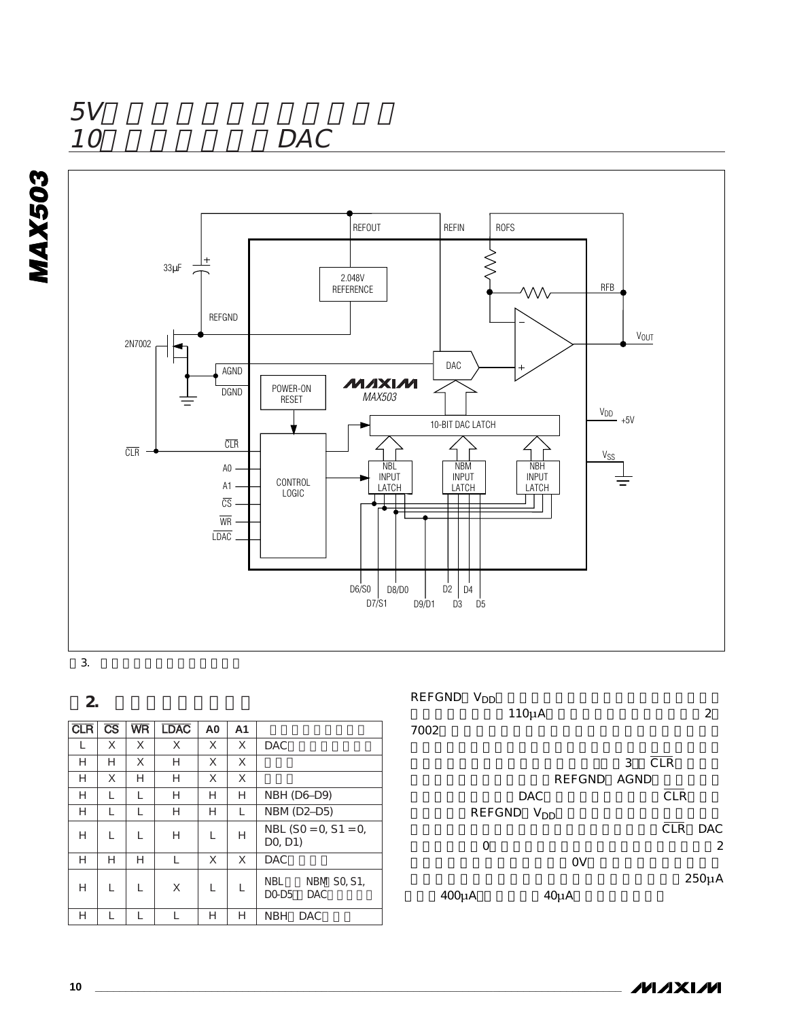$\frac{5V}{10}$ 

**MAX503**

MAX503

# DAC



### **表2. 入力ラッチアドレス**

| <b>CLR</b> | $\overline{\text{CS}}$ | <b>WR</b> | <b>LDAC</b> | A <sub>0</sub> | A1 |                                                  |
|------------|------------------------|-----------|-------------|----------------|----|--------------------------------------------------|
|            | Χ                      | X         | Χ           | X              | X  | <b>DAC</b>                                       |
| Н          | Н                      | X         | Н           | X              | X  |                                                  |
| Н          | Χ                      | Н         | Н           | X              | X  |                                                  |
| Н          |                        |           | Н           | Н              | Н  | NBH (D6-D9)                                      |
| Н          |                        |           | Н           | Н              | L  | NBM (D2-D5)                                      |
| Н          |                        |           | Н           |                | Н  | NBL $(SO = O, S1 = O,$<br>DO, D1)                |
| Н          | Н                      | Н         | L           | X              | X  | <b>DAC</b>                                       |
| Н          |                        |           | X           |                |    | <b>NBM SO, S1,</b><br>NBL<br>DO-D5<br><b>DAC</b> |
| Н          |                        |           |             | Н              | Н  | <b>NBH</b><br><b>DAC</b>                         |

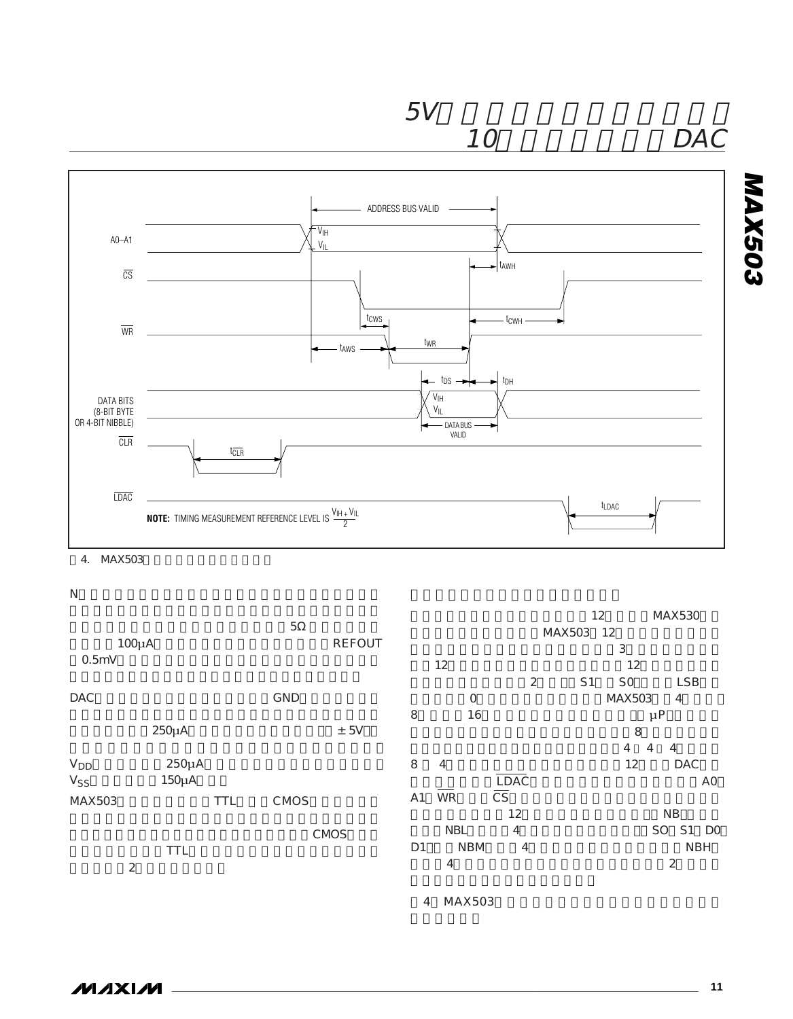

# 10 DAC



### 4. MAX503

 $N$ 

|                        |            |               |                |                |                        |                | 12                               | MAX530       |
|------------------------|------------|---------------|----------------|----------------|------------------------|----------------|----------------------------------|--------------|
|                        |            | 5             |                |                |                        | MAX503         | 12                               |              |
| 100µA                  |            | <b>REFOUT</b> |                |                |                        |                | 3                                |              |
| 0.5mV                  |            |               |                | 12             |                        |                | 12                               |              |
|                        |            |               |                |                | 2                      | S <sub>1</sub> | S <sub>O</sub>                   | <b>LSB</b>   |
| <b>DAC</b>             |            | GND           |                | $\mathsf{O}$   |                        |                | MAX503                           | 4            |
|                        |            |               | 8              | 16             |                        |                | $\mu$ P                          |              |
|                        | $250\mu$ A | ± 5V          |                |                |                        |                | 8                                |              |
|                        |            |               |                |                |                        |                | $\overline{4}$<br>$\overline{4}$ | 4            |
| <b>V</b> <sub>DD</sub> | $250\mu$ A |               | 8              | $\overline{4}$ |                        |                | 12                               | DAC          |
| Vss                    | 150μA      |               |                |                | LDAC                   |                |                                  | AO           |
| MAX503                 | <b>TTL</b> | CMOS          | A <sub>1</sub> | <b>WR</b>      | $\overline{\text{CS}}$ |                |                                  |              |
|                        |            |               |                |                | 12                     |                |                                  | <b>NB</b>    |
|                        |            | CMOS          |                | <b>NBL</b>     | 4                      |                |                                  | S1 DO<br>SO. |
|                        | <b>TTL</b> |               | D <sub>1</sub> | <b>NBM</b>     | $\overline{4}$         |                |                                  | <b>NBH</b>   |
| $\overline{2}$         |            |               |                | 4              |                        |                |                                  | 2            |
|                        |            |               |                |                |                        |                |                                  |              |
|                        |            |               | 4              | MAX503         |                        |                |                                  |              |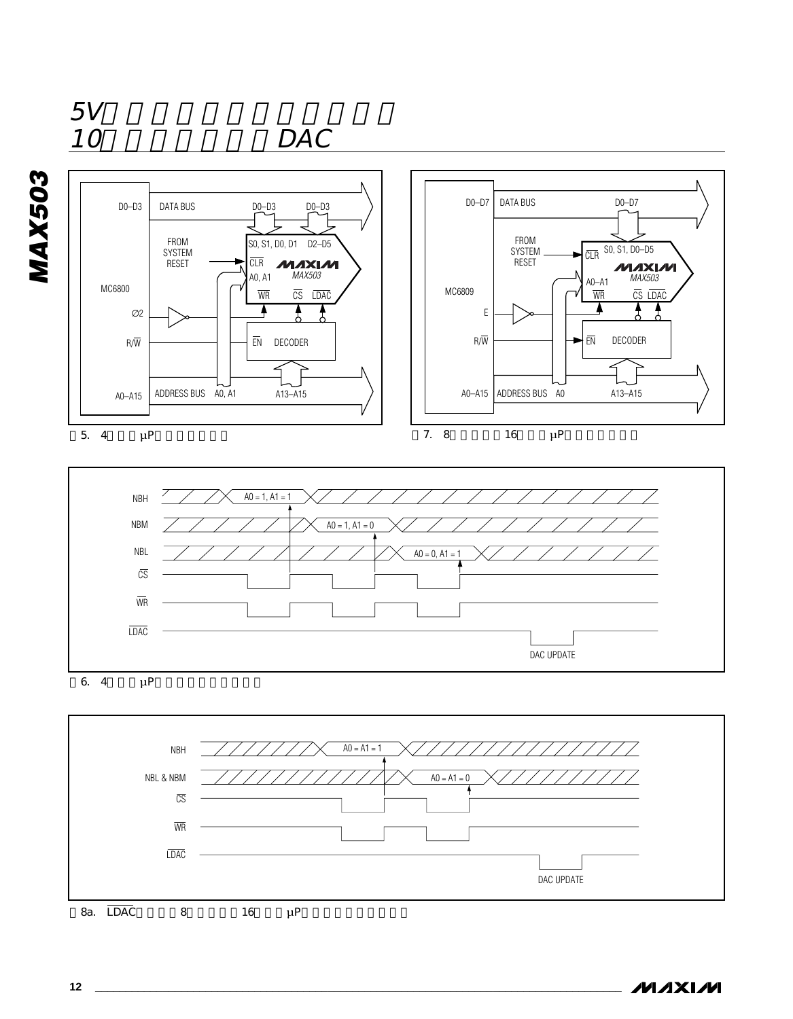

8a. LDAC 8 16 μP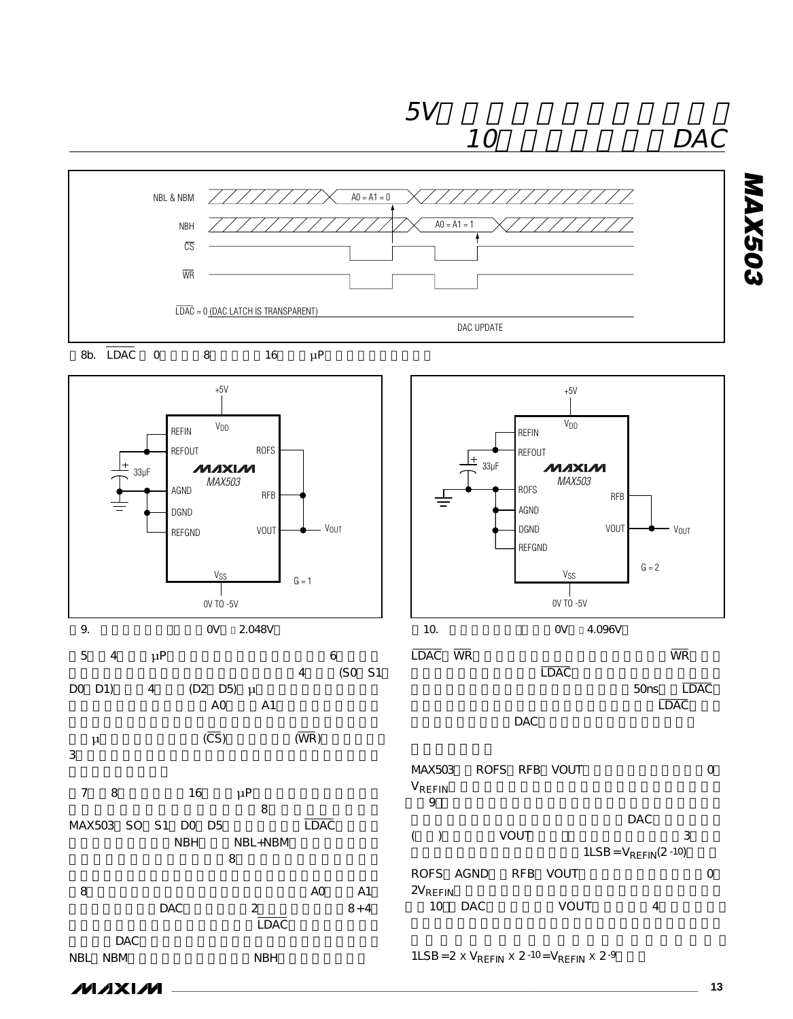

 $1LSB = 2 \times V_{REFIN} \times 2^{-10} = V_{REFIN} \times 2^{-9}$ 

**MAX503**

**MAX503** 



DAC<sub>ラ</sub>ッキはトランスペアレントになります。

NBL NBM NBH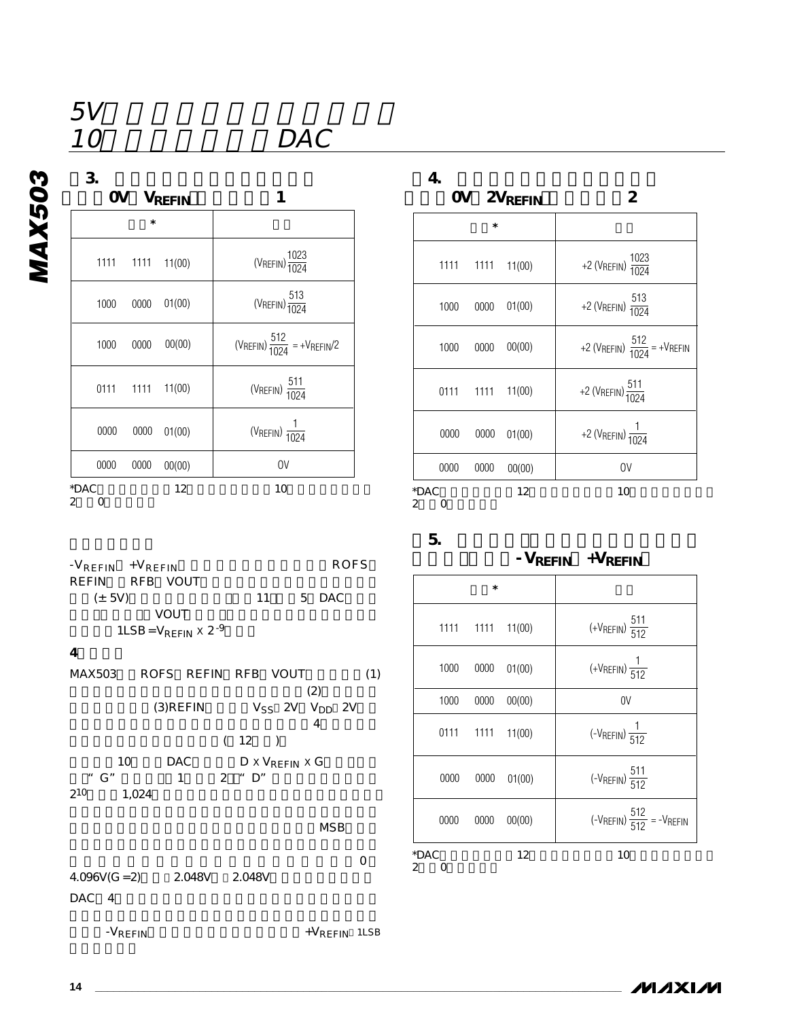| 3                      |                                         | 4                                                                 |
|------------------------|-----------------------------------------|-------------------------------------------------------------------|
| OV VREFIN              | 1                                       | 2<br>OV 2VREFIN                                                   |
| *                      |                                         | $\ast$                                                            |
| 1111<br>1111<br>11(00) | (VREFIN) $\frac{1023}{1024}$            | +2 (VREFIN) $\frac{10}{10}$<br>1111<br>$1111$ $11(00)$            |
| 01(00)<br>1000<br>0000 | $(V_{REFIN})\frac{513}{1024}$           | +2 (V <sub>REFIN</sub> ) $\frac{5}{10}$<br>01(00)<br>1000<br>0000 |
| 00(00)<br>0000<br>1000 | (VREFIN) $\frac{512}{1024}$ = +VREFIN/2 | +2 (VREFIN) $\frac{5}{10}$<br>00(00)<br>1000<br>0000              |
| 11(00)<br>0111<br>1111 | (VREFIN) $\frac{511}{1024}$             | +2 (VREFIN) $\frac{51}{102}$<br>$1111$ $11(00)$<br>0111           |
| 0000<br>0000<br>01(00) | (VREFIN) $\frac{1}{1024}$               | +2 ( $V$ REFIN) $\frac{1}{10}$<br>0000<br>01(00)<br>0000          |
| 0000<br>0000<br>00(00) | 0V                                      | 0000<br>0000<br>0V<br>00(00)                                      |
| *DAC<br>12<br>2<br>0   | 10                                      | *DAC<br>12<br>10<br>$2 \quad 0$                                   |

 $\overline{DAC}$ 

| $-V$ REFIN $+V$ REFIN<br>RFB VOUT<br>REFIN<br>$(\pm 5V)$ | <b>ROFS</b><br>11<br>5 DAC            |
|----------------------------------------------------------|---------------------------------------|
| VOUT                                                     |                                       |
| $1LSB = V_{REFIN} \times 2^{-9}$                         |                                       |
| 4                                                        |                                       |
| ROFS REFIN RFB VOUT<br>MAX503                            | (1)<br>(2)                            |
| $(3)$ REFIN                                              | $V_{SS}$ 2V $V_{DD}$ 2V<br>4          |
|                                                          | (12)                                  |
| <b>DAC</b><br>$10-10$<br>" $G$ "<br>$\overline{2}$<br>1  | $D \times V_{RFFIN} \times G$<br>" D" |
| $2^{10}$<br>1,024                                        |                                       |
|                                                          | MSB                                   |

 $\overline{0}$  $4.096V(G = 2)$   $2.048V$   $2.048V$ DAC 4

-V<sub>REFIN</sub> 1LSB

| $\overline{\mathbf{4}}$ |  |  |  |
|-------------------------|--|--|--|
|                         |  |  |  |

|                |                  | OV 2VREFIN | 2                                        |  |
|----------------|------------------|------------|------------------------------------------|--|
| $\ast$         |                  |            |                                          |  |
|                | 1111 1111 11(00) |            | +2 (VREFIN) $\frac{1023}{1024}$          |  |
| 1000           | 0000             | 01(00)     | +2 (VREFIN) $\frac{513}{1024}$           |  |
| 1000           | 0000             | 00(00)     | +2 (VREFIN) $\frac{512}{1024}$ = +VREFIN |  |
|                | 0111 1111 11(00) |            | +2 (VREFIN) $\frac{511}{1024}$           |  |
| 0000           | 0000             | 01(00)     | +2 (VREFIN) $\frac{1}{1024}$             |  |
| 0000           | 0000             | 00(00)     | 0V                                       |  |
| *DAC<br>2<br>O |                  | 12         | 10                                       |  |

**表5. バイポーラ(オフセットバイナリ)**

## $-V_{REFIN}$  + $V_{REFIN}$

| $\ast$         |                  |        |                                             |
|----------------|------------------|--------|---------------------------------------------|
|                | 1111 1111 11(00) |        | (+VREFIN) $\frac{511}{512}$                 |
| 1000           | 0000             | 01(00) | $(+V$ REFIN $)$ $\frac{1}{512}$             |
| 1000           | 0000             | 00(00) | 0V                                          |
|                | 0111 1111 11(00) |        | $\left(-V_{REFIN}\right)\frac{1}{512}$      |
| 0000           | 0000             | 01(00) | (- $V_{REFIN}$ ) $\frac{511}{512}$          |
| 0000           | 0000             | 00(00) | $(-V_{REFIN}) \frac{512}{512} = -V_{REFIN}$ |
| *DAC<br>2<br>O |                  | 12     | 10                                          |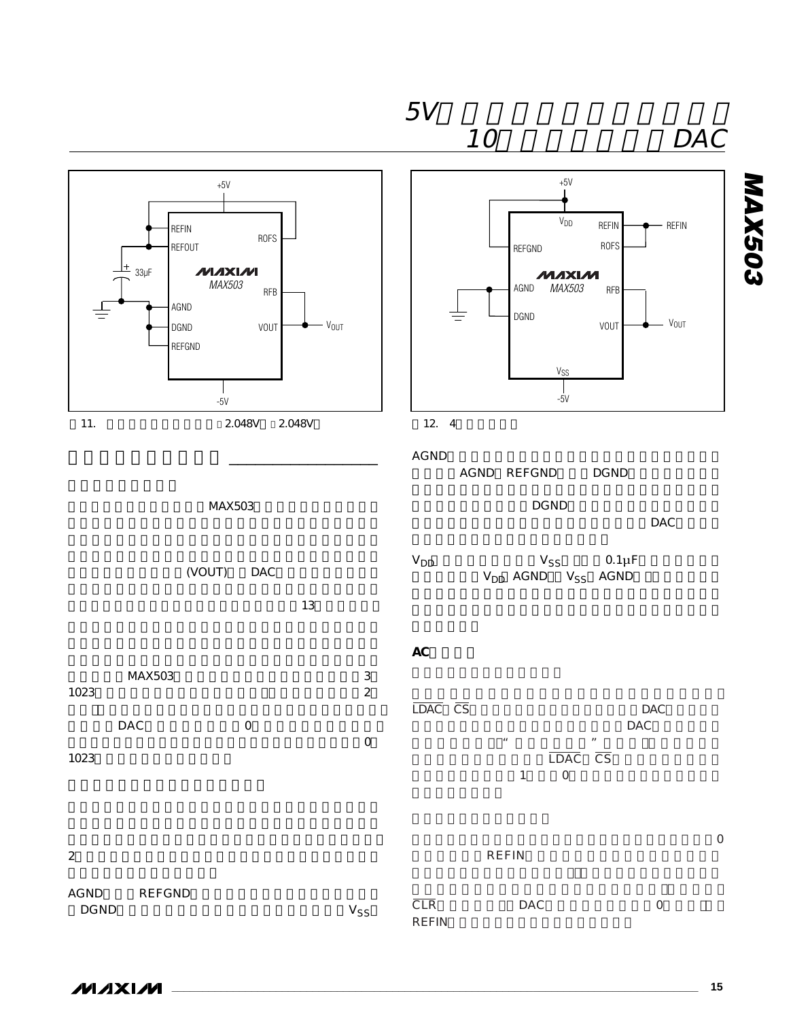

REFIN